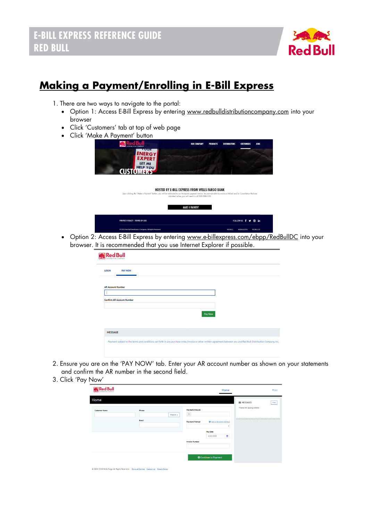

# **Making a Payment/Enrolling in E-Bill Express**

- 1. There are two ways to navigate to the portal:
	- Option 1: Access E-Bill Express by entering [www.redbulldistributioncompany.com](http://www.redbulldistributioncompany.com/) into your browser
	- Click 'Customers' tab at top of web page
	- Click 'Make A Payment' button

|                                                                                                                                                                       | <b>OUR COMPANY</b>                                                                                             | <b>PRODUCTS</b> | <b>DISTRIBUTORS</b> | <b>CUSTOMERS</b> | <b>JOBS</b> |
|-----------------------------------------------------------------------------------------------------------------------------------------------------------------------|----------------------------------------------------------------------------------------------------------------|-----------------|---------------------|------------------|-------------|
| <b>TUUR</b><br><b>ENERGY</b><br><b>EXPERT</b><br>LET ME                                                                                                               |                                                                                                                |                 |                     |                  |             |
| <b>HELP YOU</b><br><b>CUST</b>                                                                                                                                        |                                                                                                                |                 |                     |                  |             |
|                                                                                                                                                                       |                                                                                                                |                 |                     |                  |             |
|                                                                                                                                                                       |                                                                                                                |                 |                     |                  |             |
| Upon dicking the "Make a Payment" button, you will be redirected to our third-party payment vendor. You are not able to process a Refund and/or Cancellation that was | <b>HOSTED BY E-BILL EXPRESS FROM WELLS FARGO BANK</b><br>submitted online, you will need to call 303-388-0120. |                 |                     |                  |             |
|                                                                                                                                                                       |                                                                                                                |                 |                     |                  |             |
|                                                                                                                                                                       | <b>MAKE A PAYMENT</b>                                                                                          |                 |                     |                  |             |

• Option 2: Access E-Bill Express by entering [www.e-billexpress.com/ebpp/RedBullDC](http://www.e-billexpress.com/ebpp/RedBullDC) into your browser. It is recommended that you use Internet Explorer if possible.

|                          | <b>RedBull</b>                                                                                                                                                      |
|--------------------------|---------------------------------------------------------------------------------------------------------------------------------------------------------------------|
| <b>LOGIN</b>             | <b>PAY NOW</b>                                                                                                                                                      |
| <b>AR Account Number</b> | <b>Confirm AR Account Number</b>                                                                                                                                    |
|                          | Pay Now                                                                                                                                                             |
| <b>MESSAGE</b>           |                                                                                                                                                                     |
|                          | Payment subject to the terms and conditions set forth in any purchase order, invoice or other written agreement between you and Red Bull Distribution Company, Inc. |

- 2. Ensure you are on the 'PAY NOW' tab. Enter your AR account number as shown on your statements and confirm the AR number in the second field.
- 3. Click 'Pay Now'

| Red Bull                                                                                  |                        |                       |                              | Home |                           | <b>O</b> Exit |
|-------------------------------------------------------------------------------------------|------------------------|-----------------------|------------------------------|------|---------------------------|---------------|
| Home                                                                                      |                        |                       |                              |      | <b>MESSAGES</b>           | View          |
| <b>Customer Name</b>                                                                      | Phone<br>Mobile $\sim$ | Payment Amount<br>S   |                              |      | Thanks for paying online! |               |
|                                                                                           | Email                  | <b>Payment Method</b> | O Add A Payment Method       | ٠    |                           |               |
|                                                                                           |                        |                       | Pay Date                     |      |                           |               |
|                                                                                           |                        |                       | 4/20/2020                    | 兽    |                           |               |
|                                                                                           |                        | <b>Invoice Number</b> |                              |      |                           |               |
|                                                                                           |                        |                       | <b>O</b> Continue to Payment |      |                           |               |
| @ 2004-2020 Wells Fargo All Rights Reserved.   Terms of Service Contact Us Privacy Policy |                        |                       |                              |      |                           |               |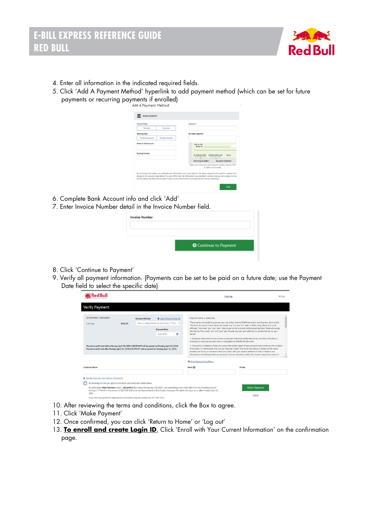

- 4. Enter all information in the indicated required fields.
- 5. Click 'Add A Payment Method' hyperlink to add payment method (which can be set for future payments or recurring payments if enrolled)

| Account Type                                 |                        | Account #                                                                                                                                                                                                                                                                                                                                                               |
|----------------------------------------------|------------------------|-------------------------------------------------------------------------------------------------------------------------------------------------------------------------------------------------------------------------------------------------------------------------------------------------------------------------------------------------------------------------|
| Personal                                     | <b>Rusiness</b>        |                                                                                                                                                                                                                                                                                                                                                                         |
| <b>Banking Type</b>                          |                        | <b>Re-enter Arrount #</b>                                                                                                                                                                                                                                                                                                                                               |
| <b>Checking Account</b>                      | <b>Savings Account</b> |                                                                                                                                                                                                                                                                                                                                                                         |
| Name on the Account<br><b>Routing Number</b> |                        | Pay to the<br>Order of<br>1:123456789<br><b>¢000123456■</b> *<br>1111<br><b>Routing Number</b><br><b>Account Number</b>                                                                                                                                                                                                                                                 |
|                                              |                        | Make sure to use your bank account number, not your ATM<br>or Debit card mimber.                                                                                                                                                                                                                                                                                        |
|                                              |                        | By continuing this action, you authorize the information you've provided on the above account to be used for creation of a<br>charge to the account listed above. You also affirm that the information you provided is correct, that you are a signer on the<br>account above and there are available funds to cover the amount of any transactions that you authorize. |

- 6. Complete Bank Account info and click 'Add'
- 7. Enter Invoice Number detail in the Invoice Number field.

| <b>O</b> Continue to Payment |
|------------------------------|

- 8. Click 'Continue to Payment'
- 9. Verify all payment information. (Payments can be set to be paid on a future date; use the Payment Date field to select the specific date)

|                                                  |                                                                                                                                                                    |                |                                                                                                                                                                                                                                                                                                                               |                                                                                                                                                                                                                                                                                                            | Home                                                                                                                                                                                                                                                                                                                                                                                                                                                                                                                                                                                                                                                                                                                                                                                                                                                                                                                                                                                                                                                                  | <b>Exit</b> |
|--------------------------------------------------|--------------------------------------------------------------------------------------------------------------------------------------------------------------------|----------------|-------------------------------------------------------------------------------------------------------------------------------------------------------------------------------------------------------------------------------------------------------------------------------------------------------------------------------|------------------------------------------------------------------------------------------------------------------------------------------------------------------------------------------------------------------------------------------------------------------------------------------------------------|-----------------------------------------------------------------------------------------------------------------------------------------------------------------------------------------------------------------------------------------------------------------------------------------------------------------------------------------------------------------------------------------------------------------------------------------------------------------------------------------------------------------------------------------------------------------------------------------------------------------------------------------------------------------------------------------------------------------------------------------------------------------------------------------------------------------------------------------------------------------------------------------------------------------------------------------------------------------------------------------------------------------------------------------------------------------------|-------------|
| <b>Verify Payment</b>                            |                                                                                                                                                                    |                |                                                                                                                                                                                                                                                                                                                               |                                                                                                                                                                                                                                                                                                            |                                                                                                                                                                                                                                                                                                                                                                                                                                                                                                                                                                                                                                                                                                                                                                                                                                                                                                                                                                                                                                                                       |             |
| <b><i>CO PAYMENT SUMMARY</i></b><br>1 Invoire    | \$545.00                                                                                                                                                           | Payment Method | <b>O</b> Add A Payment Method<br>WELLS FARGO BANK NA (ARIZONA) ***** 65/<br>Payment Date<br>f.<br>4/20/2020<br>Payments confirmed before Monday, April 20, 2020 6:00 PM MT will be posted on Monday, April 20, 2020.<br>Payments confirmed after Monday, April 20, 2020 6:00 PM MT will be posted on Tuesday, April 21, 2020. | Payment Terms & Conditions<br>behalf.                                                                                                                                                                                                                                                                      | These terms and conditions govern your use of the Internet Bill Presentment and Payment Service (the<br>"Service"). As used in these Terms, the words "we," 'us," and "our" refer to Wells Fargo Bank, N.A. (or its<br>affiliate). The words "you" and "your" refer to you as the business entity accepting these Terms and using<br>the Service. The words "you" and "your" also include any user you authorize to use the Service on your<br>1. Erroneous Instructions. If we receive a payment instruction authorized by you and the instruction is<br>erroneous in any way, we shall have no obligation or liability for the error.<br>2. Transaction Limitations. Please be aware that certain types of bank accounts have limits on the numbers<br>of transfers or withdrawals that may be made per month. Your bank may refuse transfers which would<br>exceed such limits, so we recommend you check with your bank to determine what limitations are<br>imposed on withdrawals from any account. If we are not able to debit the amount required to cover an |             |
| Customer Name                                    |                                                                                                                                                                    |                |                                                                                                                                                                                                                                                                                                                               | Print Terms and Conditions<br>Email $\odot$                                                                                                                                                                                                                                                                | Phone                                                                                                                                                                                                                                                                                                                                                                                                                                                                                                                                                                                                                                                                                                                                                                                                                                                                                                                                                                                                                                                                 |             |
| Update Customer and Address Information<br>2020. | By checking this box you agree to the terms and conditions stated above.<br>If you have any quetions regardles this transportion request please call 303-388-0120. |                |                                                                                                                                                                                                                                                                                                                               | By clicking the Make Payment button I, sdf, confirm that today, Monday April 20, 2020, I am authorizing a one-time debit from my Checking account<br>ending in *****6545 in the amount of \$545.00 USD to be remitted to Red Bull Distribution Company. This debit will occur on or after Monday April 20. | <b>Make Payment</b><br>Cancel                                                                                                                                                                                                                                                                                                                                                                                                                                                                                                                                                                                                                                                                                                                                                                                                                                                                                                                                                                                                                                         |             |

- 10. After reviewing the terms and conditions, click the Box to agree.
- 11. Click 'Make Payment'
- 12. Once confirmed, you can click 'Return to Home' or 'Log out'
- 13. **To enroll and create Login ID**, Click 'Enroll with Your Current Information' on the confirmation page.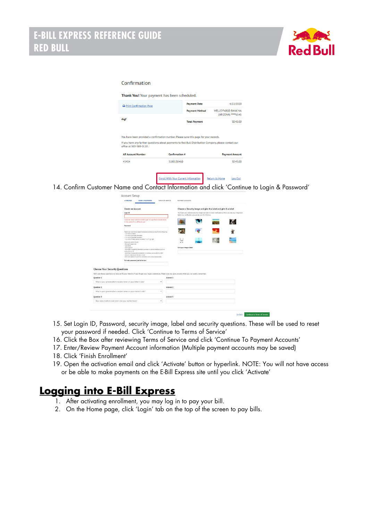

#### Confirmation

Thank You! Your payment has been scheduled.

| Print Confirmation Page                                                                               |                                                                                       | <b>Payment Date</b>   | 4/22/2020                                          |
|-------------------------------------------------------------------------------------------------------|---------------------------------------------------------------------------------------|-----------------------|----------------------------------------------------|
|                                                                                                       |                                                                                       | <b>Payment Method</b> | <b>WELLS FARGO BANK NA</b><br>(ARIZONA) ***** 6545 |
| dsgf                                                                                                  |                                                                                       | <b>Total Payment</b>  | \$545.00                                           |
|                                                                                                       | You have been provided a confirmation number. Please save this page for your records. |                       |                                                    |
| If you have any further questions about payments to Red Bull Distribution Company, please contact our |                                                                                       |                       |                                                    |
| office at 303-388-0120.                                                                               |                                                                                       |                       |                                                    |
| <b>AR Account Number</b>                                                                              | Confirmation #                                                                        |                       | <b>Payment Amount</b>                              |
| 45454                                                                                                 | 3100130460                                                                            |                       | \$545.00                                           |
|                                                                                                       |                                                                                       |                       |                                                    |

14. Confirm Customer Name and Contact Information and click 'Continue to Login & Password'



- 15. Set Login ID, Password, security image, label and security questions. These will be used to reset your password if needed. Click 'Continue to Terms of Service'
- 16. Click the Box after reviewing Terms of Service and click 'Continue To Payment Accounts'
- 17. Enter/Review Payment Account information (Multiple payment accounts may be saved)
- 18. Click 'Finish Enrollment'
- 19. Open the activation email and click 'Activate' button or hyperlink. NOTE: You will not have access or be able to make payments on the E-Bill Express site until you click 'Activate'

#### **Logging into E-Bill Express**

- 1. After activating enrollment, you may log in to pay your bill.
- 2. On the Home page, click 'Login' tab on the top of the screen to pay bills.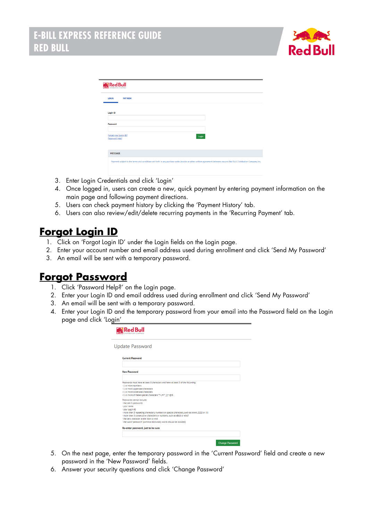

| <b>Red Bull</b>                         |                                                                                                                                                                     |  |
|-----------------------------------------|---------------------------------------------------------------------------------------------------------------------------------------------------------------------|--|
| <b>LOGIN</b><br><b>PAY NOW</b>          |                                                                                                                                                                     |  |
| Login ID                                |                                                                                                                                                                     |  |
|                                         |                                                                                                                                                                     |  |
| Password                                |                                                                                                                                                                     |  |
| Forgot your Login ID?<br>Password Help? | Login                                                                                                                                                               |  |
|                                         |                                                                                                                                                                     |  |
| <b>MESSAGE</b>                          |                                                                                                                                                                     |  |
|                                         | Payment subject to the terms and conditions set forth in any purchase order, invoice or other written agreement between you and Red Bull Distribution Company, Inc. |  |
|                                         |                                                                                                                                                                     |  |

- 3. Enter Login Credentials and click 'Login'
- 4. Once logged in, users can create a new, quick payment by entering payment information on the main page and following payment directions.
- 5. Users can check payment history by clicking the 'Payment History' tab.
- 6. Users can also review/edit/delete recurring payments in the 'Recurring Payment' tab.

### **Forgot Login ID**

- 1. Click on 'Forgot Login ID' under the Login fields on the Login page.
- 2. Enter your account number and email address used during enrollment and click 'Send My Password'
- 3. An email will be sent with a temporary password.

## **Forgot Password**

- 1. Click 'Password Help?' on the Login page.
- 2. Enter your Login ID and email address used during enrollment and click 'Send My Password'
- 3. An email will be sent with a temporary password.
- 4. Enter your Login ID and the temporary password from your email into the Password field on the Login page and click 'Login'

| <b>M</b> Red Bull                                                                                      |
|--------------------------------------------------------------------------------------------------------|
| <b>Update Password</b>                                                                                 |
| <b>Current Password</b>                                                                                |
|                                                                                                        |
| <b>New Password</b>                                                                                    |
|                                                                                                        |
| Passwords must have at least 8 characters and have at least 3 of the following:<br>- 1 or more numbers |
| - 1 or more uppercase characters                                                                       |
| - 1 or more lowercase characters                                                                       |
| - 1 or more of these special characters **- / = ? ^ {} ~! @ \$                                         |
| Passwords cannot include:                                                                              |
| - the last 3 passwords                                                                                 |
| - your name                                                                                            |
| - your Login ID                                                                                        |
| - more than 3 repeating characters, numbers or special characters, such as AAAA, 2222 or !!!!          |
| - more than 3 consecutive characters or numbers, such as aBcD or 4567                                  |
| - the zero character at the start or end                                                               |
| - the word "password" (common dictionary words should be avoided)                                      |
| Re-enter password, just to be sure                                                                     |
|                                                                                                        |
|                                                                                                        |
|                                                                                                        |
| <b>Change Password</b>                                                                                 |

- 5. On the next page, enter the temporary password in the 'Current Password' field and create a new password in the 'New Password' fields.
- 6. Answer your security questions and click 'Change Password'